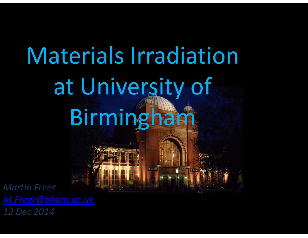# Materials Irradiation at University of Birmingham

*Martin Freer 12 Dec 2014*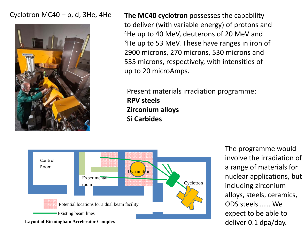#### Cyclotron MC40 – p, d, 3He, 4He



**The MC40 cyclotron** possesses the capability to deliver (with variable energy) of protons and  $^4$ He up to 40 MeV, deuterons of 20 MeV and  $3$ He up to 53 MeV. These have ranges in iron of 2900 microns, 270 microns, 530 microns and 535 microns, respectively, with intensities of up to 20 microAmps.

Present materials irradiation programme: **RPV steels Zirconium alloys Si Carbides**



The programme would involve the irradiation of a range of materials for nuclear applications, but including zirconium alloys, steels, ceramics, ODS steels……. Weexpect to be able to deliver 0.1 dpa/day.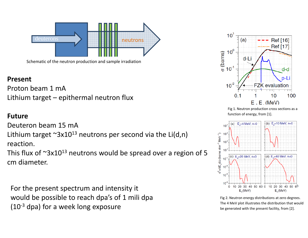

Schematic of the neutron production and sample irradiation

## **Present**

Proton beam 1 mA Lithium target – epithermal neutron flux

#### **Future**

Deuteron beam 15 mA

Lithium target  $\mathop{{}^\sim}3$ x $10^{13}$  neutrons per second via the Li(d,n)

reaction.

This flux of  $\sim$ 3x10 $^{13}$  neutrons would be spread over a region of 5 cm diameter.

For the present spectrum and intensity it would be possible to reach dpa's of 1 mili dpa  $(10^{-3}$  dpa) for a week long exposure



Fig 1. Neutron production cross sections as <sup>a</sup> function of energy, from [1].



Fig 2. Neutron energy distributions at zero degrees. The 4 MeV plot illustrates the distribution that would be generated with the present facility, from [2].